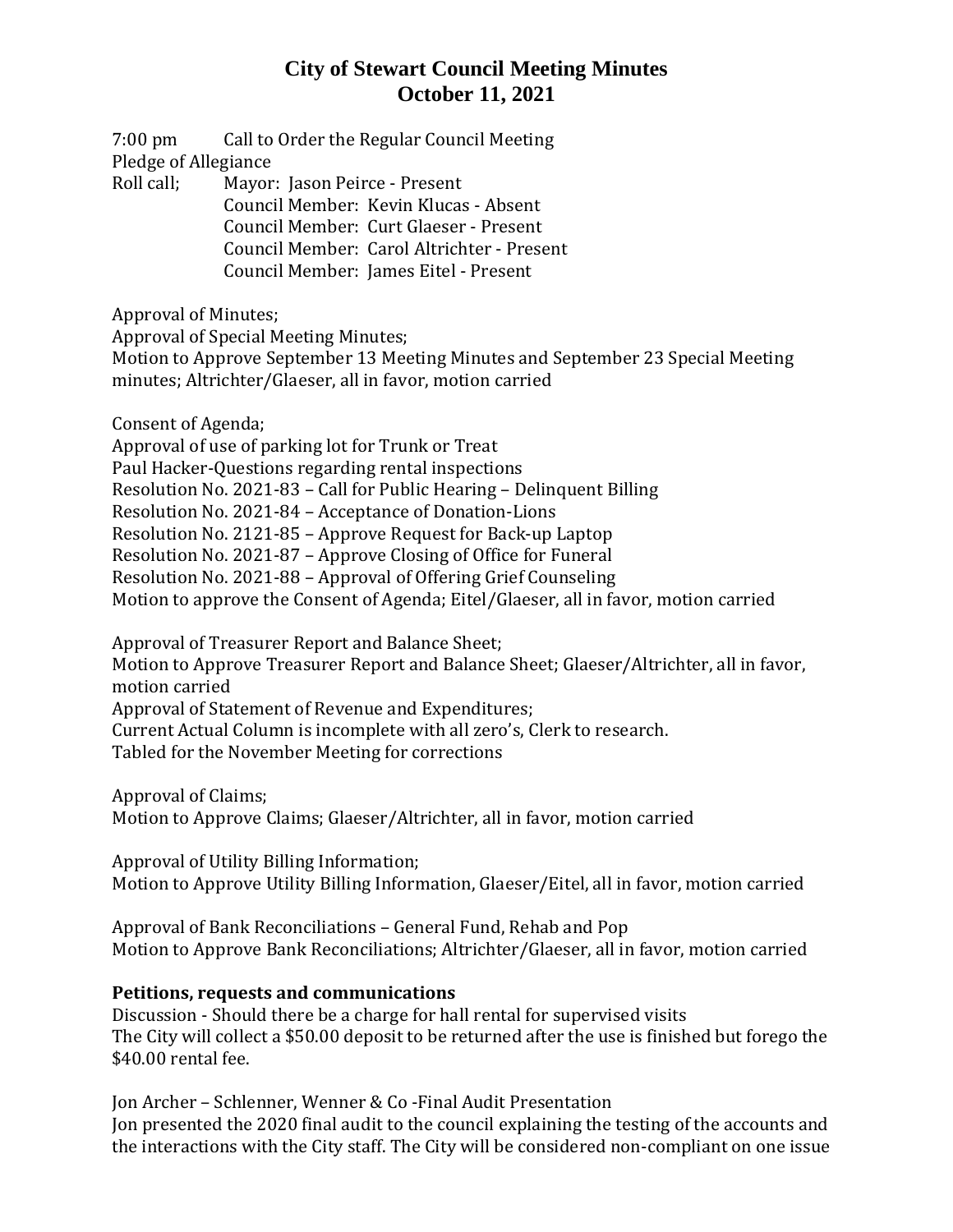7:00 pm Call to Order the Regular Council Meeting Pledge of Allegiance Roll call; Mayor: Jason Peirce - Present Council Member: Kevin Klucas - Absent Council Member: Curt Glaeser - Present Council Member: Carol Altrichter - Present

Council Member: James Eitel - Present

Approval of Minutes;

Approval of Special Meeting Minutes;

Motion to Approve September 13 Meeting Minutes and September 23 Special Meeting minutes; Altrichter/Glaeser, all in favor, motion carried

Consent of Agenda;

Approval of use of parking lot for Trunk or Treat

Paul Hacker-Questions regarding rental inspections

Resolution No. 2021-83 – Call for Public Hearing – Delinquent Billing

Resolution No. 2021-84 – Acceptance of Donation-Lions

Resolution No. 2121-85 – Approve Request for Back-up Laptop

Resolution No. 2021-87 – Approve Closing of Office for Funeral

Resolution No. 2021-88 – Approval of Offering Grief Counseling

Motion to approve the Consent of Agenda; Eitel/Glaeser, all in favor, motion carried

Approval of Treasurer Report and Balance Sheet;

Motion to Approve Treasurer Report and Balance Sheet; Glaeser/Altrichter, all in favor, motion carried

Approval of Statement of Revenue and Expenditures;

Current Actual Column is incomplete with all zero's, Clerk to research.

Tabled for the November Meeting for corrections

Approval of Claims;

Motion to Approve Claims; Glaeser/Altrichter, all in favor, motion carried

Approval of Utility Billing Information; Motion to Approve Utility Billing Information, Glaeser/Eitel, all in favor, motion carried

Approval of Bank Reconciliations – General Fund, Rehab and Pop Motion to Approve Bank Reconciliations; Altrichter/Glaeser, all in favor, motion carried

#### **Petitions, requests and communications**

Discussion - Should there be a charge for hall rental for supervised visits The City will collect a \$50.00 deposit to be returned after the use is finished but forego the \$40.00 rental fee.

Jon Archer – Schlenner, Wenner & Co -Final Audit Presentation Jon presented the 2020 final audit to the council explaining the testing of the accounts and the interactions with the City staff. The City will be considered non-compliant on one issue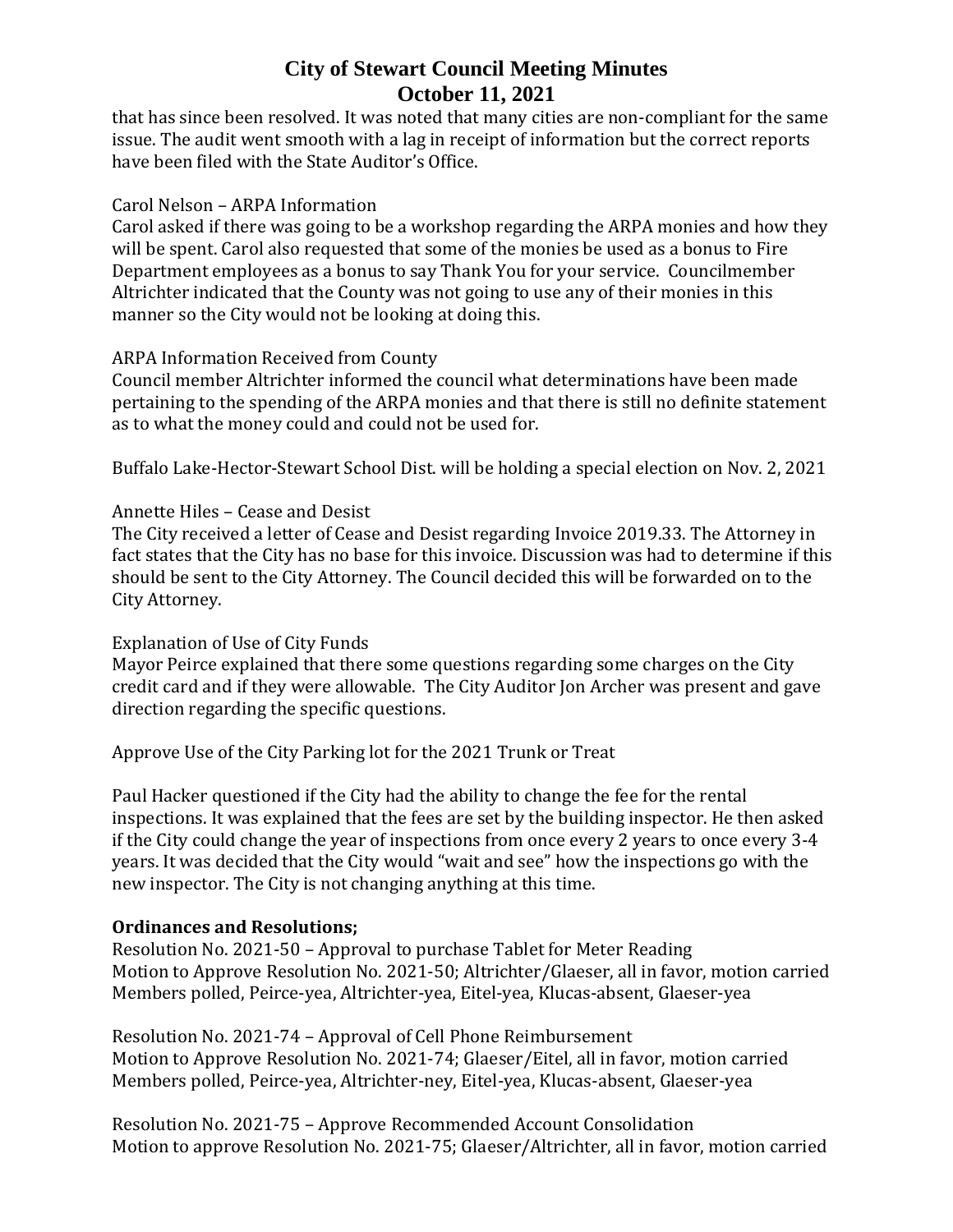that has since been resolved. It was noted that many cities are non-compliant for the same issue. The audit went smooth with a lag in receipt of information but the correct reports have been filed with the State Auditor's Office.

#### Carol Nelson – ARPA Information

Carol asked if there was going to be a workshop regarding the ARPA monies and how they will be spent. Carol also requested that some of the monies be used as a bonus to Fire Department employees as a bonus to say Thank You for your service. Councilmember Altrichter indicated that the County was not going to use any of their monies in this manner so the City would not be looking at doing this.

## ARPA Information Received from County

Council member Altrichter informed the council what determinations have been made pertaining to the spending of the ARPA monies and that there is still no definite statement as to what the money could and could not be used for.

Buffalo Lake-Hector-Stewart School Dist. will be holding a special election on Nov. 2, 2021

## Annette Hiles – Cease and Desist

The City received a letter of Cease and Desist regarding Invoice 2019.33. The Attorney in fact states that the City has no base for this invoice. Discussion was had to determine if this should be sent to the City Attorney. The Council decided this will be forwarded on to the City Attorney.

## Explanation of Use of City Funds

Mayor Peirce explained that there some questions regarding some charges on the City credit card and if they were allowable. The City Auditor Jon Archer was present and gave direction regarding the specific questions.

Approve Use of the City Parking lot for the 2021 Trunk or Treat

Paul Hacker questioned if the City had the ability to change the fee for the rental inspections. It was explained that the fees are set by the building inspector. He then asked if the City could change the year of inspections from once every 2 years to once every 3-4 years. It was decided that the City would "wait and see" how the inspections go with the new inspector. The City is not changing anything at this time.

## **Ordinances and Resolutions;**

Resolution No. 2021-50 – Approval to purchase Tablet for Meter Reading Motion to Approve Resolution No. 2021-50; Altrichter/Glaeser, all in favor, motion carried Members polled, Peirce-yea, Altrichter-yea, Eitel-yea, Klucas-absent, Glaeser-yea

Resolution No. 2021-74 – Approval of Cell Phone Reimbursement Motion to Approve Resolution No. 2021-74; Glaeser/Eitel, all in favor, motion carried Members polled, Peirce-yea, Altrichter-ney, Eitel-yea, Klucas-absent, Glaeser-yea

Resolution No. 2021-75 – Approve Recommended Account Consolidation Motion to approve Resolution No. 2021-75; Glaeser/Altrichter, all in favor, motion carried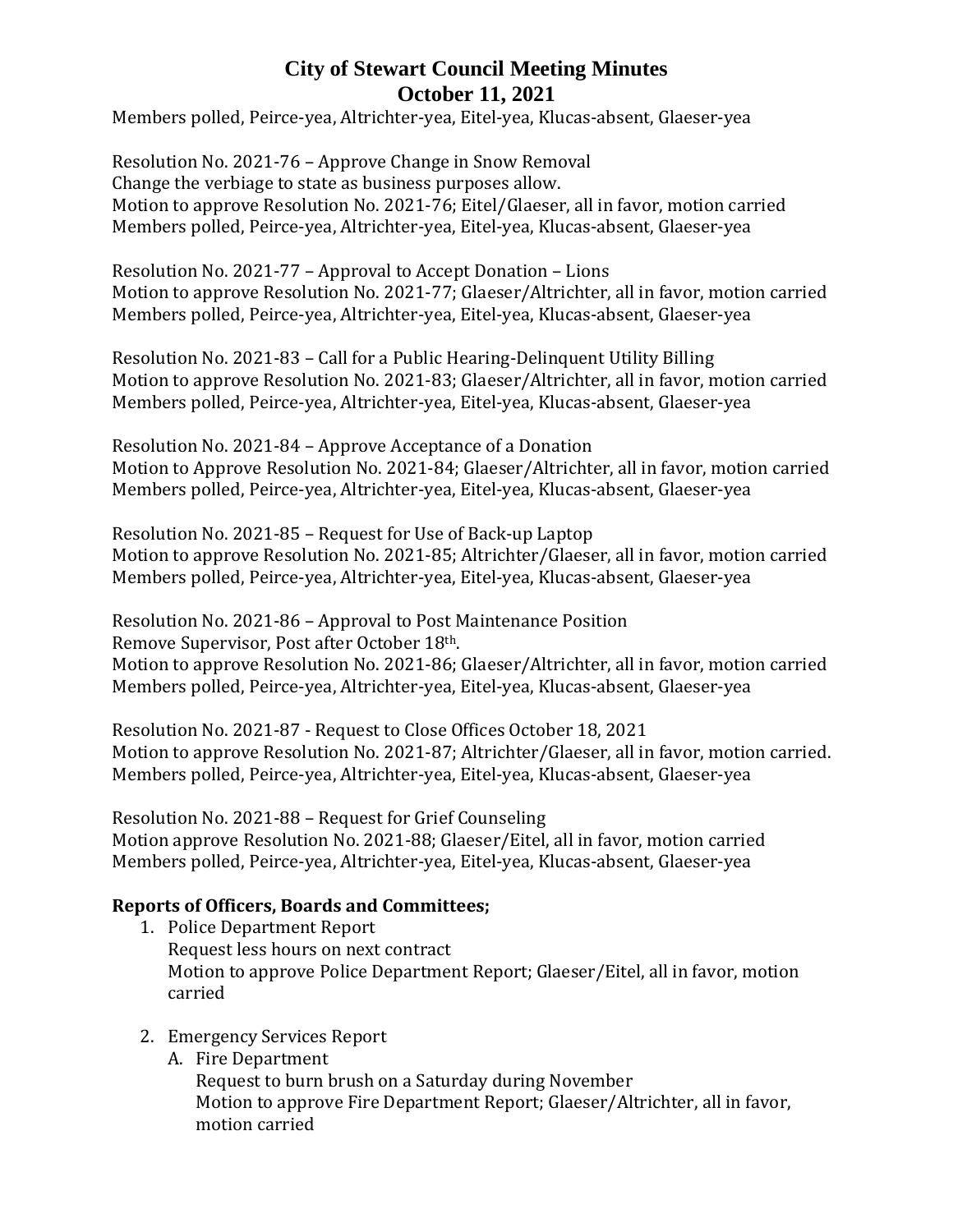Members polled, Peirce-yea, Altrichter-yea, Eitel-yea, Klucas-absent, Glaeser-yea

Resolution No. 2021-76 – Approve Change in Snow Removal Change the verbiage to state as business purposes allow. Motion to approve Resolution No. 2021-76; Eitel/Glaeser, all in favor, motion carried Members polled, Peirce-yea, Altrichter-yea, Eitel-yea, Klucas-absent, Glaeser-yea

Resolution No. 2021-77 – Approval to Accept Donation – Lions Motion to approve Resolution No. 2021-77; Glaeser/Altrichter, all in favor, motion carried Members polled, Peirce-yea, Altrichter-yea, Eitel-yea, Klucas-absent, Glaeser-yea

Resolution No. 2021-83 – Call for a Public Hearing-Delinquent Utility Billing Motion to approve Resolution No. 2021-83; Glaeser/Altrichter, all in favor, motion carried Members polled, Peirce-yea, Altrichter-yea, Eitel-yea, Klucas-absent, Glaeser-yea

Resolution No. 2021-84 – Approve Acceptance of a Donation Motion to Approve Resolution No. 2021-84; Glaeser/Altrichter, all in favor, motion carried Members polled, Peirce-yea, Altrichter-yea, Eitel-yea, Klucas-absent, Glaeser-yea

Resolution No. 2021-85 – Request for Use of Back-up Laptop Motion to approve Resolution No. 2021-85; Altrichter/Glaeser, all in favor, motion carried Members polled, Peirce-yea, Altrichter-yea, Eitel-yea, Klucas-absent, Glaeser-yea

Resolution No. 2021-86 – Approval to Post Maintenance Position Remove Supervisor, Post after October 18th.

Motion to approve Resolution No. 2021-86; Glaeser/Altrichter, all in favor, motion carried Members polled, Peirce-yea, Altrichter-yea, Eitel-yea, Klucas-absent, Glaeser-yea

Resolution No. 2021-87 - Request to Close Offices October 18, 2021 Motion to approve Resolution No. 2021-87; Altrichter/Glaeser, all in favor, motion carried. Members polled, Peirce-yea, Altrichter-yea, Eitel-yea, Klucas-absent, Glaeser-yea

Resolution No. 2021-88 – Request for Grief Counseling Motion approve Resolution No. 2021-88; Glaeser/Eitel, all in favor, motion carried Members polled, Peirce-yea, Altrichter-yea, Eitel-yea, Klucas-absent, Glaeser-yea

## **Reports of Officers, Boards and Committees;**

- 1. Police Department Report Request less hours on next contract Motion to approve Police Department Report; Glaeser/Eitel, all in favor, motion carried
- 2. Emergency Services Report
	- A. Fire Department

Request to burn brush on a Saturday during November Motion to approve Fire Department Report; Glaeser/Altrichter, all in favor, motion carried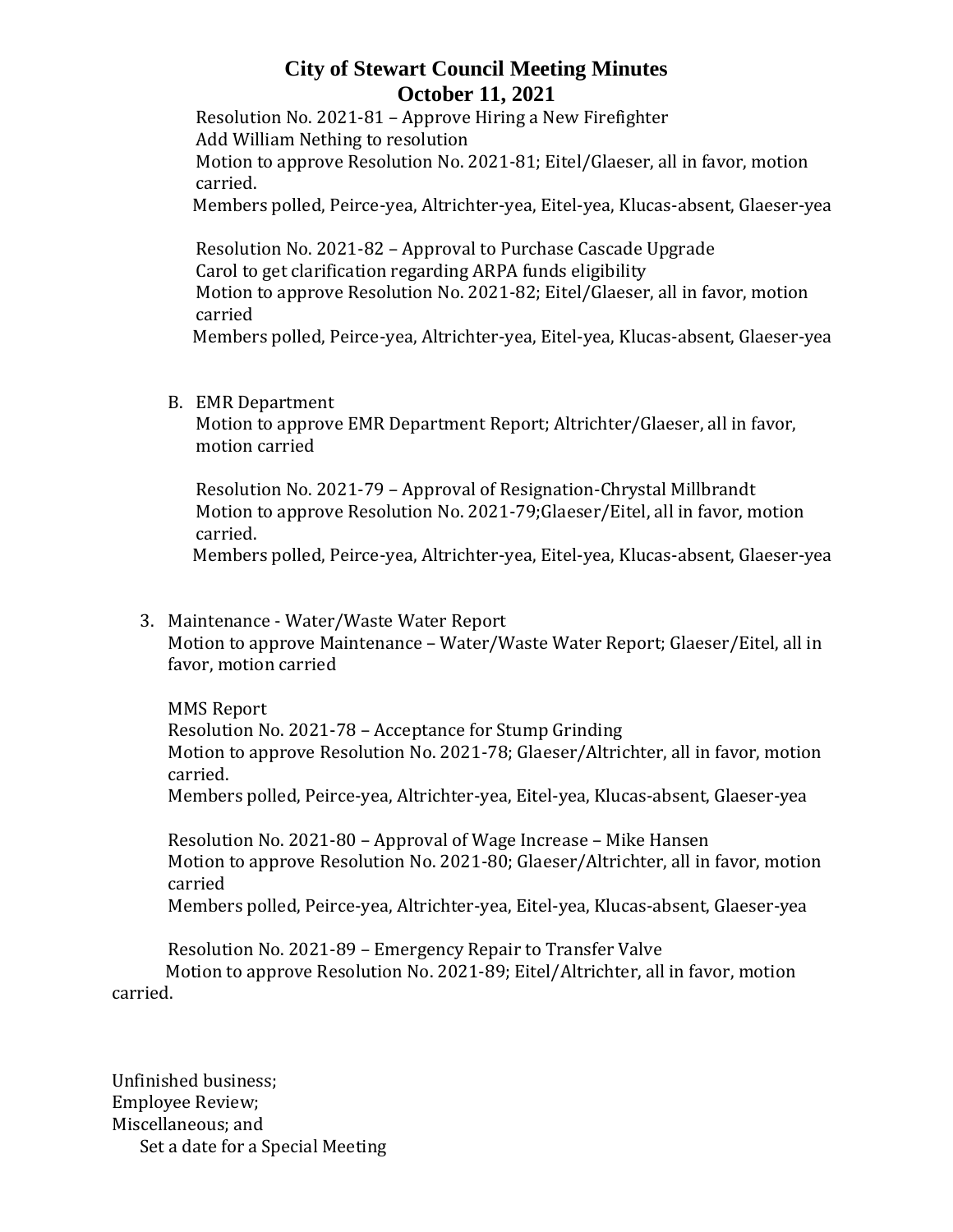Resolution No. 2021-81 – Approve Hiring a New Firefighter Add William Nething to resolution Motion to approve Resolution No. 2021-81; Eitel/Glaeser, all in favor, motion carried. Members polled, Peirce-yea, Altrichter-yea, Eitel-yea, Klucas-absent, Glaeser-yea

Resolution No. 2021-82 – Approval to Purchase Cascade Upgrade Carol to get clarification regarding ARPA funds eligibility Motion to approve Resolution No. 2021-82; Eitel/Glaeser, all in favor, motion carried

Members polled, Peirce-yea, Altrichter-yea, Eitel-yea, Klucas-absent, Glaeser-yea

## B. EMR Department

Motion to approve EMR Department Report; Altrichter/Glaeser, all in favor, motion carried

Resolution No. 2021-79 – Approval of Resignation-Chrystal Millbrandt Motion to approve Resolution No. 2021-79;Glaeser/Eitel, all in favor, motion carried.

Members polled, Peirce-yea, Altrichter-yea, Eitel-yea, Klucas-absent, Glaeser-yea

3. Maintenance - Water/Waste Water Report Motion to approve Maintenance – Water/Waste Water Report; Glaeser/Eitel, all in favor, motion carried

MMS Report

Resolution No. 2021-78 – Acceptance for Stump Grinding Motion to approve Resolution No. 2021-78; Glaeser/Altrichter, all in favor, motion carried.

Members polled, Peirce-yea, Altrichter-yea, Eitel-yea, Klucas-absent, Glaeser-yea

Resolution No. 2021-80 – Approval of Wage Increase – Mike Hansen Motion to approve Resolution No. 2021-80; Glaeser/Altrichter, all in favor, motion carried

Members polled, Peirce-yea, Altrichter-yea, Eitel-yea, Klucas-absent, Glaeser-yea

Resolution No. 2021-89 – Emergency Repair to Transfer Valve Motion to approve Resolution No. 2021-89; Eitel/Altrichter, all in favor, motion carried.

Unfinished business; Employee Review; Miscellaneous; and Set a date for a Special Meeting